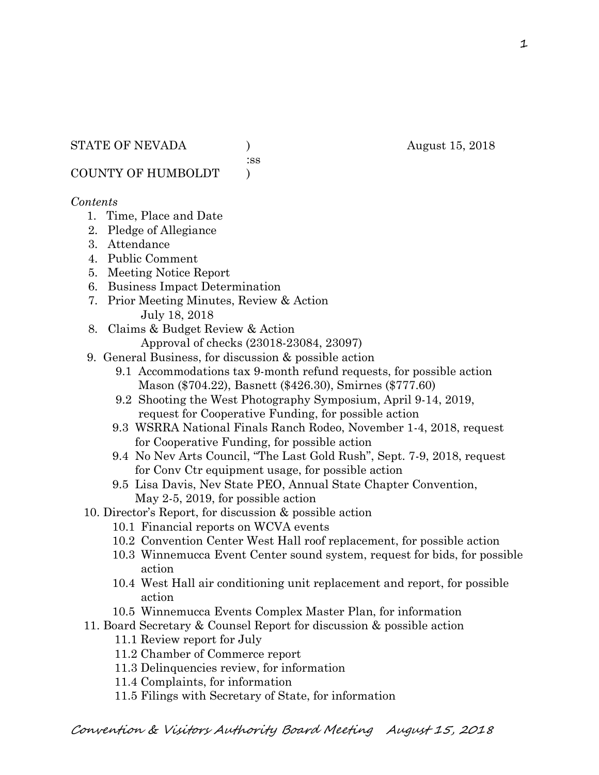:ss

COUNTY OF HUMBOLDT )

## *Contents*

- 1. Time, Place and Date
- 2. Pledge of Allegiance
- 3. Attendance
- 4. Public Comment
- 5. Meeting Notice Report
- 6. Business Impact Determination
- 7. Prior Meeting Minutes, Review & Action July 18, 2018
- 8. Claims & Budget Review & Action
	- Approval of checks (23018-23084, 23097)
- 9. General Business, for discussion & possible action
	- 9.1 Accommodations tax 9-month refund requests, for possible action Mason (\$704.22), Basnett (\$426.30), Smirnes (\$777.60)
	- 9.2 Shooting the West Photography Symposium, April 9-14, 2019, request for Cooperative Funding, for possible action
	- 9.3 WSRRA National Finals Ranch Rodeo, November 1-4, 2018, request for Cooperative Funding, for possible action
	- 9.4 No Nev Arts Council, "The Last Gold Rush", Sept. 7-9, 2018, request for Conv Ctr equipment usage, for possible action
	- 9.5 Lisa Davis, Nev State PEO, Annual State Chapter Convention, May 2-5, 2019, for possible action
- 10. Director's Report, for discussion & possible action
	- 10.1 Financial reports on WCVA events
	- 10.2 Convention Center West Hall roof replacement, for possible action
	- 10.3 Winnemucca Event Center sound system, request for bids, for possible action
	- 10.4 West Hall air conditioning unit replacement and report, for possible action
	- 10.5 Winnemucca Events Complex Master Plan, for information
- 11. Board Secretary & Counsel Report for discussion & possible action
	- 11.1 Review report for July
	- 11.2 Chamber of Commerce report
	- 11.3 Delinquencies review, for information
	- 11.4 Complaints, for information
	- 11.5 Filings with Secretary of State, for information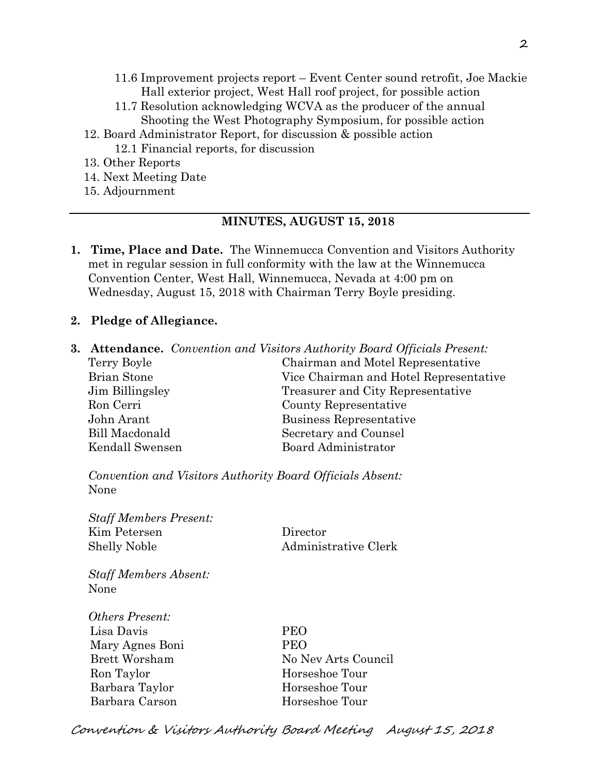- 11.6 Improvement projects report Event Center sound retrofit, Joe Mackie Hall exterior project, West Hall roof project, for possible action
- 11.7 Resolution acknowledging WCVA as the producer of the annual Shooting the West Photography Symposium, for possible action
- 12. Board Administrator Report, for discussion & possible action 12.1 Financial reports, for discussion
- 13. Other Reports
- 14. Next Meeting Date
- 15. Adjournment

## **MINUTES, AUGUST 15, 2018**

**1. Time, Place and Date.** The Winnemucca Convention and Visitors Authority met in regular session in full conformity with the law at the Winnemucca Convention Center, West Hall, Winnemucca, Nevada at 4:00 pm on Wednesday, August 15, 2018 with Chairman Terry Boyle presiding.

## **2. Pledge of Allegiance.**

**3. Attendance.** *Convention and Visitors Authority Board Officials Present:* 

| Terry Boyle        | Chairman and Motel Representative      |  |
|--------------------|----------------------------------------|--|
| <b>Brian Stone</b> | Vice Chairman and Hotel Representative |  |
| Jim Billingsley    | Treasurer and City Representative      |  |
| Ron Cerri          | County Representative                  |  |
| John Arant         | Business Representative                |  |
| Bill Macdonald     | Secretary and Counsel                  |  |
| Kendall Swensen    | <b>Board Administrator</b>             |  |
|                    |                                        |  |

*Convention and Visitors Authority Board Officials Absent:*  None

*Staff Members Present:*  Kim Petersen Director Shelly Noble Administrative Clerk

*Staff Members Absent:*  None

*Others Present:*  Lisa Davis PEO Mary Agnes Boni PEO Ron Taylor **Horseshoe Tour**  Barbara Taylor Horseshoe Tour Barbara Carson Horseshoe Tour

Brett Worsham No Nev Arts Council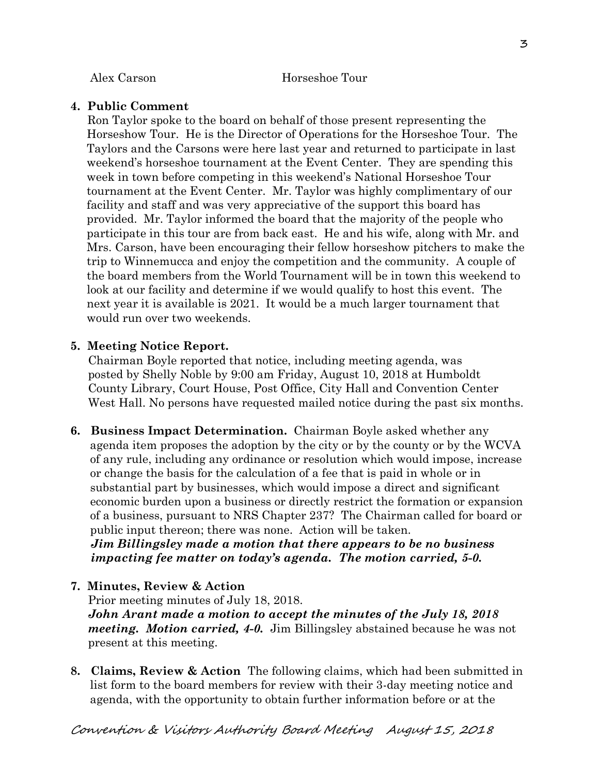Alex Carson Horseshoe Tour

### **4. Public Comment**

Ron Taylor spoke to the board on behalf of those present representing the Horseshow Tour. He is the Director of Operations for the Horseshoe Tour. The Taylors and the Carsons were here last year and returned to participate in last weekend's horseshoe tournament at the Event Center. They are spending this week in town before competing in this weekend's National Horseshoe Tour tournament at the Event Center. Mr. Taylor was highly complimentary of our facility and staff and was very appreciative of the support this board has provided. Mr. Taylor informed the board that the majority of the people who participate in this tour are from back east. He and his wife, along with Mr. and Mrs. Carson, have been encouraging their fellow horseshow pitchers to make the trip to Winnemucca and enjoy the competition and the community. A couple of the board members from the World Tournament will be in town this weekend to look at our facility and determine if we would qualify to host this event. The next year it is available is 2021. It would be a much larger tournament that would run over two weekends.

### **5. Meeting Notice Report.**

Chairman Boyle reported that notice, including meeting agenda, was posted by Shelly Noble by 9:00 am Friday, August 10, 2018 at Humboldt County Library, Court House, Post Office, City Hall and Convention Center West Hall. No persons have requested mailed notice during the past six months.

**6. Business Impact Determination.** Chairman Boyle asked whether any agenda item proposes the adoption by the city or by the county or by the WCVA of any rule, including any ordinance or resolution which would impose, increase or change the basis for the calculation of a fee that is paid in whole or in substantial part by businesses, which would impose a direct and significant economic burden upon a business or directly restrict the formation or expansion of a business, pursuant to NRS Chapter 237? The Chairman called for board or public input thereon; there was none. Action will be taken.

 *Jim Billingsley made a motion that there appears to be no business impacting fee matter on today's agenda. The motion carried, 5-0.* 

### **7. Minutes, Review & Action**

Prior meeting minutes of July 18, 2018.

*John Arant made a motion to accept the minutes of the July 18, 2018 meeting. Motion carried, 4-0.* Jim Billingsley abstained because he was not present at this meeting.

**8. Claims, Review & Action** The following claims, which had been submitted in list form to the board members for review with their 3-day meeting notice and agenda, with the opportunity to obtain further information before or at the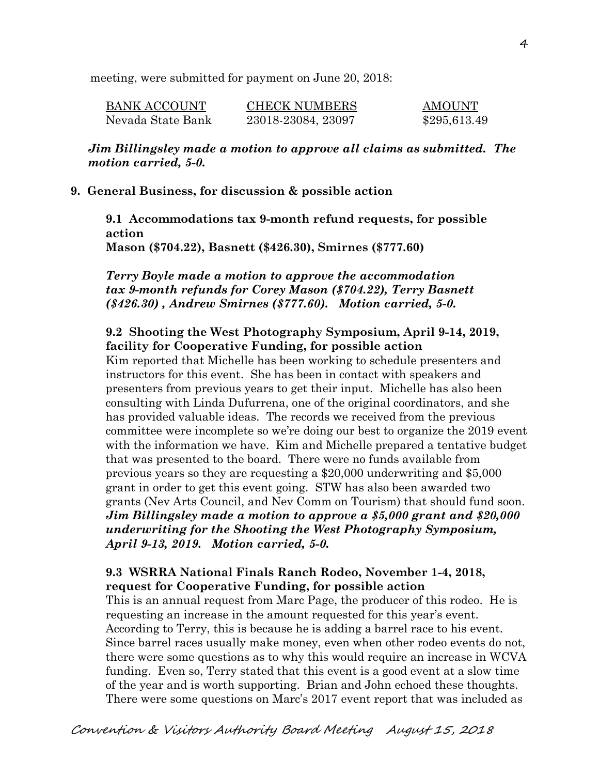meeting, were submitted for payment on June 20, 2018:

| BANK ACCOUNT      | <b>CHECK NUMBERS</b> | <b>AMOUNT</b> |
|-------------------|----------------------|---------------|
| Nevada State Bank | 23018-23084, 23097   | \$295,613.49  |

*Jim Billingsley made a motion to approve all claims as submitted. The motion carried, 5-0.* 

### **9. General Business, for discussion & possible action**

**9.1 Accommodations tax 9-month refund requests, for possible action Mason (\$704.22), Basnett (\$426.30), Smirnes (\$777.60)** 

*Terry Boyle made a motion to approve the accommodation tax 9-month refunds for Corey Mason (\$704.22), Terry Basnett (\$426.30) , Andrew Smirnes (\$777.60). Motion carried, 5-0.*

### **9.2 Shooting the West Photography Symposium, April 9-14, 2019, facility for Cooperative Funding, for possible action**

Kim reported that Michelle has been working to schedule presenters and instructors for this event. She has been in contact with speakers and presenters from previous years to get their input. Michelle has also been consulting with Linda Dufurrena, one of the original coordinators, and she has provided valuable ideas. The records we received from the previous committee were incomplete so we're doing our best to organize the 2019 event with the information we have. Kim and Michelle prepared a tentative budget that was presented to the board. There were no funds available from previous years so they are requesting a \$20,000 underwriting and \$5,000 grant in order to get this event going. STW has also been awarded two grants (Nev Arts Council, and Nev Comm on Tourism) that should fund soon. *Jim Billingsley made a motion to approve a \$5,000 grant and \$20,000 underwriting for the Shooting the West Photography Symposium, April 9-13, 2019. Motion carried, 5-0.*

### **9.3 WSRRA National Finals Ranch Rodeo, November 1-4, 2018, request for Cooperative Funding, for possible action**

This is an annual request from Marc Page, the producer of this rodeo. He is requesting an increase in the amount requested for this year's event. According to Terry, this is because he is adding a barrel race to his event. Since barrel races usually make money, even when other rodeo events do not, there were some questions as to why this would require an increase in WCVA funding. Even so, Terry stated that this event is a good event at a slow time of the year and is worth supporting. Brian and John echoed these thoughts. There were some questions on Marc's 2017 event report that was included as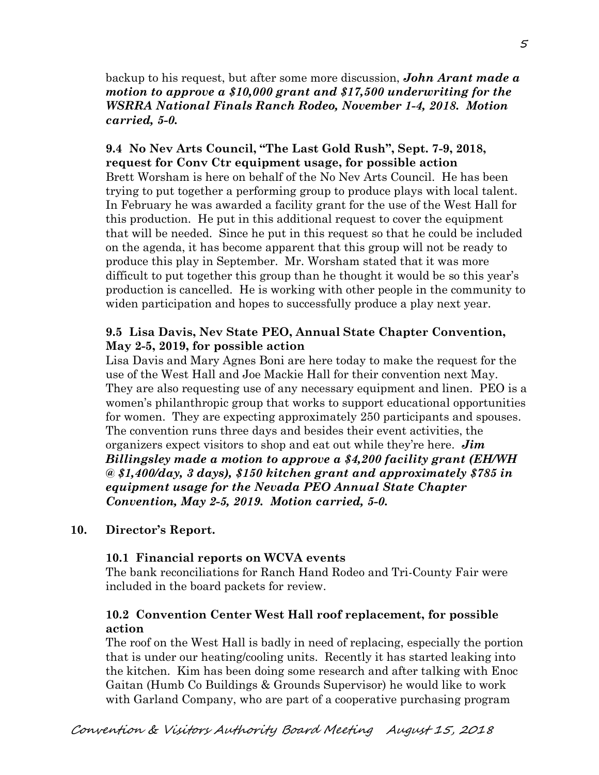backup to his request, but after some more discussion, *John Arant made a motion to approve a \$10,000 grant and \$17,500 underwriting for the WSRRA National Finals Ranch Rodeo, November 1-4, 2018. Motion carried, 5-0.* 

**9.4 No Nev Arts Council, "The Last Gold Rush", Sept. 7-9, 2018, request for Conv Ctr equipment usage, for possible action**  Brett Worsham is here on behalf of the No Nev Arts Council. He has been trying to put together a performing group to produce plays with local talent. In February he was awarded a facility grant for the use of the West Hall for this production. He put in this additional request to cover the equipment that will be needed. Since he put in this request so that he could be included on the agenda, it has become apparent that this group will not be ready to produce this play in September. Mr. Worsham stated that it was more difficult to put together this group than he thought it would be so this year's production is cancelled. He is working with other people in the community to widen participation and hopes to successfully produce a play next year.

## **9.5 Lisa Davis, Nev State PEO, Annual State Chapter Convention, May 2-5, 2019, for possible action**

Lisa Davis and Mary Agnes Boni are here today to make the request for the use of the West Hall and Joe Mackie Hall for their convention next May. They are also requesting use of any necessary equipment and linen. PEO is a women's philanthropic group that works to support educational opportunities for women. They are expecting approximately 250 participants and spouses. The convention runs three days and besides their event activities, the organizers expect visitors to shop and eat out while they're here. *Jim Billingsley made a motion to approve a \$4,200 facility grant (EH/WH @ \$1,400/day, 3 days), \$150 kitchen grant and approximately \$785 in equipment usage for the Nevada PEO Annual State Chapter Convention, May 2-5, 2019. Motion carried, 5-0.* 

## **10. Director's Report.**

## **10.1 Financial reports on WCVA events**

The bank reconciliations for Ranch Hand Rodeo and Tri-County Fair were included in the board packets for review.

## **10.2 Convention Center West Hall roof replacement, for possible action**

The roof on the West Hall is badly in need of replacing, especially the portion that is under our heating/cooling units. Recently it has started leaking into the kitchen. Kim has been doing some research and after talking with Enoc Gaitan (Humb Co Buildings & Grounds Supervisor) he would like to work with Garland Company, who are part of a cooperative purchasing program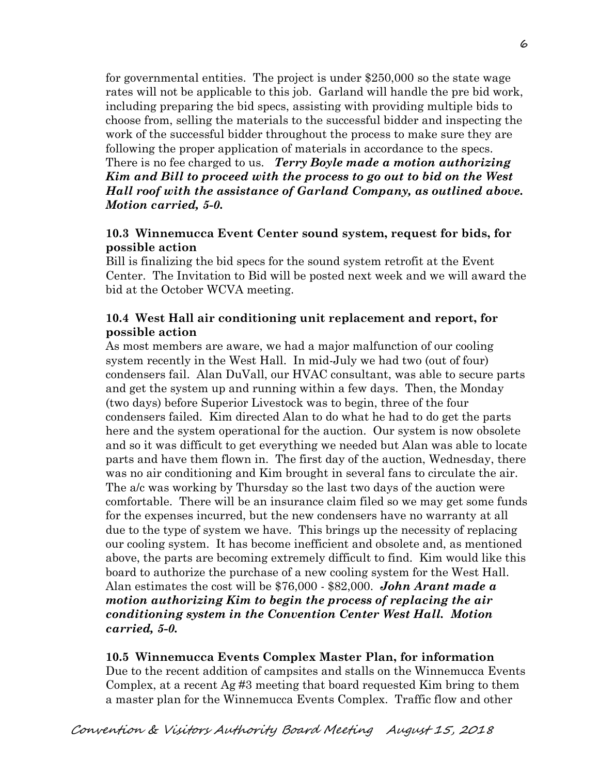for governmental entities. The project is under \$250,000 so the state wage rates will not be applicable to this job. Garland will handle the pre bid work, including preparing the bid specs, assisting with providing multiple bids to choose from, selling the materials to the successful bidder and inspecting the work of the successful bidder throughout the process to make sure they are following the proper application of materials in accordance to the specs. There is no fee charged to us. *Terry Boyle made a motion authorizing Kim and Bill to proceed with the process to go out to bid on the West Hall roof with the assistance of Garland Company, as outlined above.* 

### *Motion carried, 5-0.*

# **10.3 Winnemucca Event Center sound system, request for bids, for possible action**

Bill is finalizing the bid specs for the sound system retrofit at the Event Center. The Invitation to Bid will be posted next week and we will award the bid at the October WCVA meeting.

# **10.4 West Hall air conditioning unit replacement and report, for possible action**

As most members are aware, we had a major malfunction of our cooling system recently in the West Hall. In mid-July we had two (out of four) condensers fail. Alan DuVall, our HVAC consultant, was able to secure parts and get the system up and running within a few days. Then, the Monday (two days) before Superior Livestock was to begin, three of the four condensers failed. Kim directed Alan to do what he had to do get the parts here and the system operational for the auction. Our system is now obsolete and so it was difficult to get everything we needed but Alan was able to locate parts and have them flown in. The first day of the auction, Wednesday, there was no air conditioning and Kim brought in several fans to circulate the air. The a/c was working by Thursday so the last two days of the auction were comfortable. There will be an insurance claim filed so we may get some funds for the expenses incurred, but the new condensers have no warranty at all due to the type of system we have. This brings up the necessity of replacing our cooling system. It has become inefficient and obsolete and, as mentioned above, the parts are becoming extremely difficult to find. Kim would like this board to authorize the purchase of a new cooling system for the West Hall. Alan estimates the cost will be \$76,000 - \$82,000. *John Arant made a motion authorizing Kim to begin the process of replacing the air conditioning system in the Convention Center West Hall. Motion carried, 5-0.*

# **10.5 Winnemucca Events Complex Master Plan, for information**

Due to the recent addition of campsites and stalls on the Winnemucca Events Complex, at a recent Ag #3 meeting that board requested Kim bring to them a master plan for the Winnemucca Events Complex. Traffic flow and other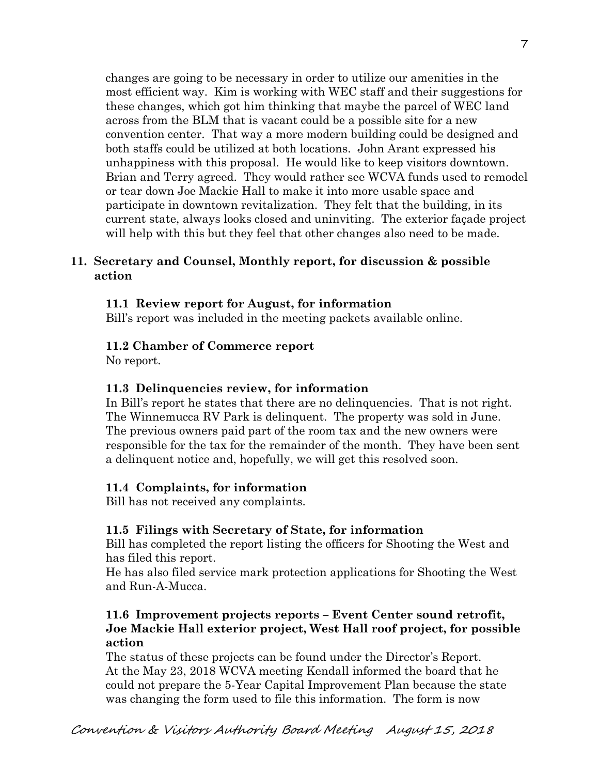changes are going to be necessary in order to utilize our amenities in the most efficient way. Kim is working with WEC staff and their suggestions for these changes, which got him thinking that maybe the parcel of WEC land across from the BLM that is vacant could be a possible site for a new convention center. That way a more modern building could be designed and both staffs could be utilized at both locations. John Arant expressed his unhappiness with this proposal. He would like to keep visitors downtown. Brian and Terry agreed. They would rather see WCVA funds used to remodel or tear down Joe Mackie Hall to make it into more usable space and participate in downtown revitalization. They felt that the building, in its current state, always looks closed and uninviting. The exterior façade project will help with this but they feel that other changes also need to be made.

## **11. Secretary and Counsel, Monthly report, for discussion & possible action**

## **11.1 Review report for August, for information**

Bill's report was included in the meeting packets available online.

### **11.2 Chamber of Commerce report**

No report.

### **11.3 Delinquencies review, for information**

In Bill's report he states that there are no delinquencies. That is not right. The Winnemucca RV Park is delinquent. The property was sold in June. The previous owners paid part of the room tax and the new owners were responsible for the tax for the remainder of the month. They have been sent a delinquent notice and, hopefully, we will get this resolved soon.

### **11.4 Complaints, for information**

Bill has not received any complaints.

### **11.5 Filings with Secretary of State, for information**

Bill has completed the report listing the officers for Shooting the West and has filed this report.

 He has also filed service mark protection applications for Shooting the West and Run-A-Mucca.

## **11.6 Improvement projects reports – Event Center sound retrofit, Joe Mackie Hall exterior project, West Hall roof project, for possible action**

The status of these projects can be found under the Director's Report. At the May 23, 2018 WCVA meeting Kendall informed the board that he could not prepare the 5-Year Capital Improvement Plan because the state was changing the form used to file this information. The form is now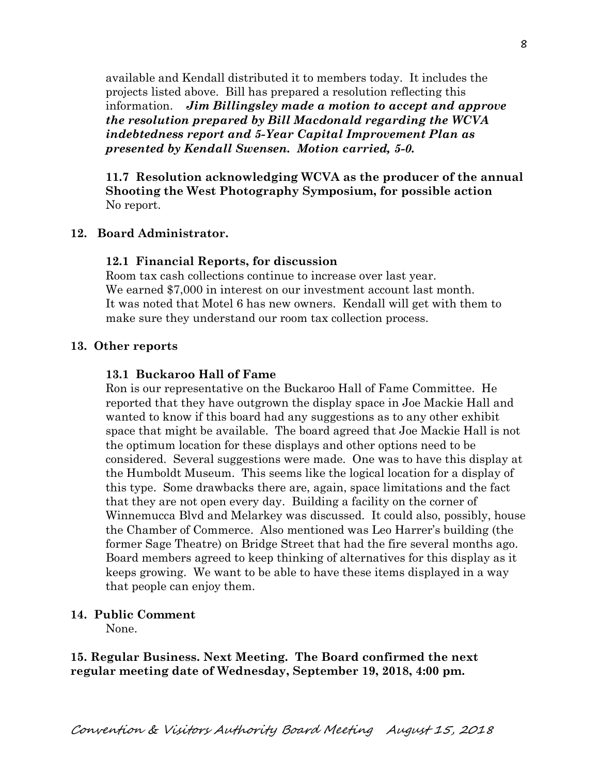available and Kendall distributed it to members today. It includes the projects listed above. Bill has prepared a resolution reflecting this information. *Jim Billingsley made a motion to accept and approve the resolution prepared by Bill Macdonald regarding the WCVA indebtedness report and 5-Year Capital Improvement Plan as presented by Kendall Swensen. Motion carried, 5-0.* 

**11.7 Resolution acknowledging WCVA as the producer of the annual Shooting the West Photography Symposium, for possible action**  No report.

### **12. Board Administrator.**

#### **12.1 Financial Reports, for discussion**

Room tax cash collections continue to increase over last year. We earned \$7,000 in interest on our investment account last month. It was noted that Motel 6 has new owners. Kendall will get with them to make sure they understand our room tax collection process.

#### **13. Other reports**

#### **13.1 Buckaroo Hall of Fame**

Ron is our representative on the Buckaroo Hall of Fame Committee. He reported that they have outgrown the display space in Joe Mackie Hall and wanted to know if this board had any suggestions as to any other exhibit space that might be available. The board agreed that Joe Mackie Hall is not the optimum location for these displays and other options need to be considered. Several suggestions were made. One was to have this display at the Humboldt Museum. This seems like the logical location for a display of this type. Some drawbacks there are, again, space limitations and the fact that they are not open every day. Building a facility on the corner of Winnemucca Blvd and Melarkey was discussed. It could also, possibly, house the Chamber of Commerce. Also mentioned was Leo Harrer's building (the former Sage Theatre) on Bridge Street that had the fire several months ago. Board members agreed to keep thinking of alternatives for this display as it keeps growing. We want to be able to have these items displayed in a way that people can enjoy them.

### **14. Public Comment**

None.

**15. Regular Business. Next Meeting. The Board confirmed the next regular meeting date of Wednesday, September 19, 2018, 4:00 pm.**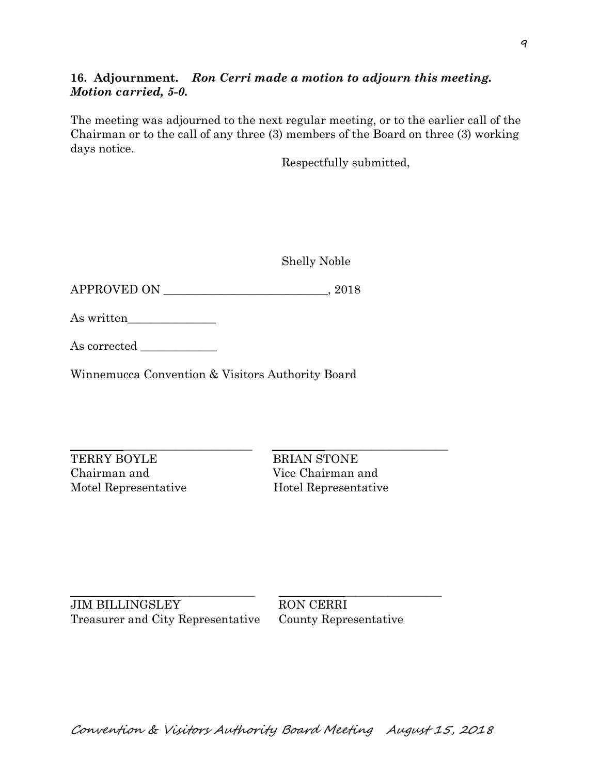# **16. Adjournment.** *Ron Cerri made a motion to adjourn this meeting. Motion carried, 5-0.*

The meeting was adjourned to the next regular meeting, or to the earlier call of the Chairman or to the call of any three (3) members of the Board on three (3) working days notice.

Respectfully submitted,

Shelly Noble

APPROVED ON \_\_\_\_\_\_\_\_\_\_\_\_\_\_\_\_\_\_\_\_\_\_\_\_\_\_\_\_, 2018

|  | As written |  |  |  |
|--|------------|--|--|--|
|--|------------|--|--|--|

As corrected

Winnemucca Convention & Visitors Authority Board

 $\_$  ,  $\_$  ,  $\_$  ,  $\_$  ,  $\_$  ,  $\_$  ,  $\_$  ,  $\_$  ,  $\_$  ,  $\_$  ,  $\_$  ,  $\_$  ,  $\_$  ,  $\_$  ,  $\_$  ,  $\_$  ,  $\_$  ,  $\_$  ,  $\_$  ,  $\_$  ,  $\_$  ,  $\_$  ,  $\_$  ,  $\_$  ,  $\_$  ,  $\_$  ,  $\_$  ,  $\_$  ,  $\_$  ,  $\_$  ,  $\_$  ,  $\_$  ,  $\_$  ,  $\_$  ,  $\_$  ,  $\_$  ,  $\_$  , TERRY BOYLE BRIAN STONE Chairman and Vice Chairman and Motel Representative Hotel Representative

\_\_\_\_\_\_\_\_\_\_\_ \_ \_\_\_\_\_\_\_\_\_\_\_\_\_\_\_ \_\_\_\_\_\_\_\_\_ \_\_\_\_\_\_\_\_\_\_\_\_\_\_\_\_\_\_ JIM BILLINGSLEY RON CERRI Treasurer and City Representative County Representative